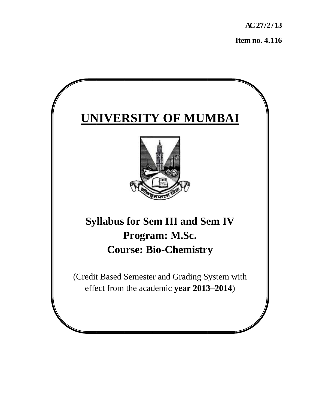**AC 27 7/2/13** 

**Item no. 4.116** 

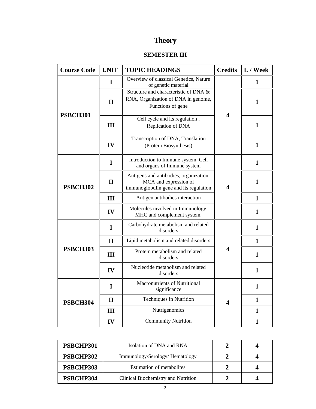# **Theory**

## **SEMESTER III**

| <b>Course Code</b> | <b>UNIT</b>  | <b>TOPIC HEADINGS</b>                                                                                     | <b>Credits</b>          | L / Week     |
|--------------------|--------------|-----------------------------------------------------------------------------------------------------------|-------------------------|--------------|
|                    | I            | Overview of classical Genetics, Nature<br>of genetic material                                             |                         | 1            |
|                    | $\mathbf{I}$ | Structure and characteristic of DNA &<br>RNA, Organization of DNA in genome,<br>Functions of gene         | 4                       | 1            |
| <b>PSBCH301</b>    | III          | Cell cycle and its regulation,<br>Replication of DNA                                                      |                         | $\mathbf{1}$ |
|                    | IV           | Transcription of DNA, Translation<br>(Protein Biosynthesis)                                               |                         | $\mathbf{1}$ |
|                    | I            | Introduction to Immune system, Cell<br>and organs of Immune system                                        | $\overline{\mathbf{4}}$ | 1            |
| <b>PSBCH302</b>    | $\mathbf{I}$ | Antigens and antibodies, organization,<br>MCA and expression of<br>immunoglobulin gene and its regulation |                         | 1            |
|                    | III          | Antigen antibodies interaction                                                                            |                         | $\mathbf{1}$ |
|                    | IV           | Molecules involved in Immunology,<br>MHC and complement system.                                           |                         | 1            |
|                    | I            | Carbohydrate metabolism and related<br>disorders                                                          |                         | $\mathbf{1}$ |
|                    | $\mathbf{I}$ | Lipid metabolism and related disorders                                                                    |                         | $\mathbf{1}$ |
| <b>PSBCH303</b>    | III          | Protein metabolism and related<br>disorders                                                               | $\overline{\mathbf{4}}$ | $\mathbf{1}$ |
|                    | IV           | Nucleotide metabolism and related<br>disorders                                                            |                         | $\mathbf{1}$ |
| PSBCH304           | I            | Macronutrients of Nutritional<br>significance                                                             |                         | $\mathbf{1}$ |
|                    | $\mathbf{I}$ | <b>Techniques in Nutrition</b>                                                                            | 4                       | $\mathbf{1}$ |
|                    | III          | Nutrigenomics                                                                                             |                         | 1            |
|                    | IV           | <b>Community Nutrition</b>                                                                                |                         | $\mathbf{1}$ |

| PSBCHP301 | Isolation of DNA and RNA            |  |
|-----------|-------------------------------------|--|
| PSBCHP302 | Immunology/Serology/Hematology      |  |
| PSBCHP303 | <b>Estimation of metabolites</b>    |  |
| PSBCHP304 | Clinical Biochemistry and Nutrition |  |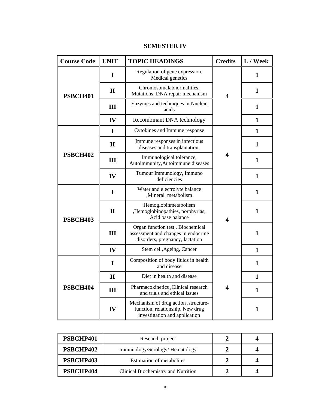| <b>Course Code</b> | <b>UNIT</b>  | <b>TOPIC HEADINGS</b>                                                                                      | <b>Credits</b>          | L / Week     |
|--------------------|--------------|------------------------------------------------------------------------------------------------------------|-------------------------|--------------|
| PSBCH401           | I            | Regulation of gene expression,<br>Medical genetics                                                         | $\overline{\mathbf{4}}$ | 1            |
|                    | $\mathbf{I}$ | Chromosomalabnormalities,<br>Mutations, DNA repair mechanism                                               |                         | $\mathbf{1}$ |
|                    | III          | Enzymes and techniques in Nucleic<br>acids                                                                 |                         | $\mathbf{1}$ |
|                    | IV           | Recombinant DNA technology                                                                                 |                         | $\mathbf{1}$ |
|                    | $\mathbf I$  | Cytokines and Immune response                                                                              |                         | $\mathbf{1}$ |
|                    | $\mathbf{I}$ | Immune responses in infectious<br>diseases and transplantation.                                            |                         | 1            |
| <b>PSBCH402</b>    | III          | Immunological tolerance,<br>Autoimmunity, Autoimmune diseases                                              | 4                       | $\mathbf{1}$ |
|                    | IV           | Tumour Immunology, Immuno<br>deficiencies                                                                  |                         | $\mathbf{1}$ |
|                    | $\mathbf I$  | Water and electrolyte balance<br>,Mineral metabolism                                                       |                         | $\mathbf{1}$ |
| <b>PSBCH403</b>    | $\mathbf{I}$ | Hemoglobinmetabolism<br>,Hemoglobinopathies, porphyrias,<br>Acid base balance                              | 4                       | 1            |
|                    | III          | Organ function test, Biochemical<br>assessment and changes in endocrine<br>disorders, pregnancy, lactation |                         | $\mathbf{1}$ |
|                    | IV           | Stem cell, Ageing, Cancer                                                                                  |                         | $\mathbf{1}$ |
| PSBCH404           | $\mathbf I$  | Composition of body fluids in health<br>and disease                                                        |                         | $\mathbf{1}$ |
|                    | $\mathbf{I}$ | Diet in health and disease                                                                                 | 4                       | $\mathbf{1}$ |
|                    | III          | Pharmacokinetics , Clinical research<br>and trials and ethical issues                                      |                         | $\mathbf{1}$ |
|                    | IV           | Mechanism of drug action , structure-<br>function, relationship, New drug<br>investigation and application |                         | $\mathbf{1}$ |

## **SEMESTER IV**

| PSBCHP401 | Research project                    |  |
|-----------|-------------------------------------|--|
| PSBCHP402 | Immunology/Serology/Hematology      |  |
| PSBCHP403 | <b>Estimation of metabolites</b>    |  |
| PSBCHP404 | Clinical Biochemistry and Nutrition |  |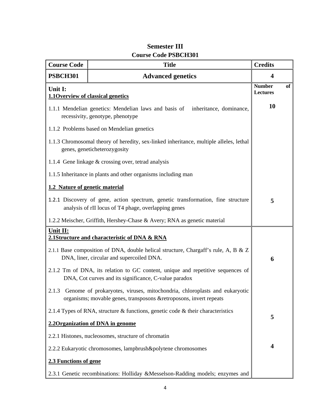| <b>Course Code</b>             | <b>Title</b>                                                                                                                                     | <b>Credits</b>            |    |
|--------------------------------|--------------------------------------------------------------------------------------------------------------------------------------------------|---------------------------|----|
| <b>PSBCH301</b>                | <b>Advanced genetics</b>                                                                                                                         | $\overline{\mathbf{4}}$   |    |
| Unit I:                        | <b>1.1Overview of classical genetics</b>                                                                                                         | <b>Number</b><br>Lectures | of |
|                                | 1.1.1 Mendelian genetics: Mendelian laws and basis of<br>inheritance, dominance,<br>recessivity, genotype, phenotype                             | 10                        |    |
|                                | 1.1.2 Problems based on Mendelian genetics                                                                                                       |                           |    |
|                                | 1.1.3 Chromosomal theory of heredity, sex-linked inheritance, multiple alleles, lethal<br>genes, geneticheterozygosity                           |                           |    |
|                                | 1.1.4 Gene linkage & crossing over, tetrad analysis                                                                                              |                           |    |
|                                | 1.1.5 Inheritance in plants and other organisms including man                                                                                    |                           |    |
| 1.2 Nature of genetic material |                                                                                                                                                  |                           |    |
|                                | 1.2.1 Discovery of gene, action spectrum, genetic transformation, fine structure<br>analysis of rII locus of T4 phage, overlapping genes         | 5                         |    |
|                                | 1.2.2 Meischer, Griffith, Hershey-Chase & Avery; RNA as genetic material                                                                         |                           |    |
| Unit II:                       | 2.1Structure and characteristic of DNA & RNA                                                                                                     |                           |    |
|                                | 2.1.1 Base composition of DNA, double helical structure, Chargaff's rule, A, B & Z<br>DNA, liner, circular and supercoiled DNA.                  | 6                         |    |
|                                | 2.1.2 Tm of DNA, its relation to GC content, unique and repetitive sequences of<br>DNA, Cot curves and its significance, C-value paradox         |                           |    |
| 2.1.3                          | Genome of prokaryotes, viruses, mitochondria, chloroplasts and eukaryotic<br>organisms; movable genes, transposons & retroposons, invert repeats |                           |    |
|                                | 2.1.4 Types of RNA, structure & functions, genetic code & their characteristics                                                                  | 5                         |    |
|                                | 2.20 rganization of DNA in genome                                                                                                                |                           |    |
|                                | 2.2.1 Histones, nucleosomes, structure of chromatin                                                                                              |                           |    |
|                                | 2.2.2 Eukaryotic chromosomes, lampbrush&polytene chromosomes                                                                                     | 4                         |    |
| 2.3 Functions of gene          |                                                                                                                                                  |                           |    |
|                                | 2.3.1 Genetic recombinations: Holliday &Messelson-Radding models; enzymes and                                                                    |                           |    |

## **Semester III Course Code PSBCH301**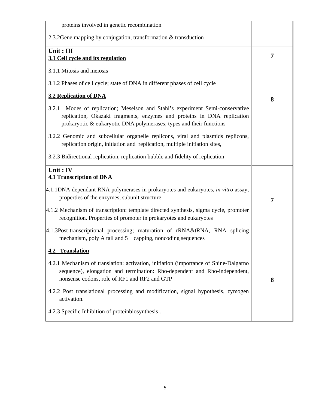| proteins involved in genetic recombination                                                                                                                                                                                         |   |
|------------------------------------------------------------------------------------------------------------------------------------------------------------------------------------------------------------------------------------|---|
| 2.3.2 Gene mapping by conjugation, transformation $&$ transduction                                                                                                                                                                 |   |
| Unit: III<br>3.1 Cell cycle and its regulation                                                                                                                                                                                     | 7 |
| 3.1.1 Mitosis and meiosis                                                                                                                                                                                                          |   |
| 3.1.2 Phases of cell cycle; state of DNA in different phases of cell cycle                                                                                                                                                         |   |
| <b>3.2 Replication of DNA</b>                                                                                                                                                                                                      | 8 |
| Modes of replication; Meselson and Stahl's experiment Semi-conservative<br>3.2.1<br>replication, Okazaki fragments, enzymes and proteins in DNA replication<br>prokaryotic & eukaryotic DNA polymerases; types and their functions |   |
| 3.2.2 Genomic and subcellular organelle replicons, viral and plasmids replicons,<br>replication origin, initiation and replication, multiple initiation sites,                                                                     |   |
| 3.2.3 Bidirectional replication, replication bubble and fidelity of replication                                                                                                                                                    |   |
| Unit: IV<br><b>4.1 Transcription of DNA</b>                                                                                                                                                                                        |   |
| 4.1.1DNA dependant RNA polymerases in prokaryotes and eukaryotes, in vitro assay,<br>properties of the enzymes, subunit structure                                                                                                  | 7 |
| $ 4.1.2$ Mechanism of transcription: template directed synthesis, sigma cycle, promoter<br>recognition. Properties of promoter in prokaryotes and eukaryotes                                                                       |   |
| 4.1.3Post-transcriptional processing; maturation of rRNA&tRNA, RNA splicing<br>mechanism, poly A tail and 5 capping, noncoding sequences                                                                                           |   |
| 4.2 Translation                                                                                                                                                                                                                    |   |
| 4.2.1 Mechanism of translation: activation, initiation (importance of Shine-Dalgarno)<br>sequence), elongation and termination: Rho-dependent and Rho-independent,<br>nonsense codons, role of RF1 and RF2 and GTP                 | 8 |
| 4.2.2 Post translational processing and modification, signal hypothesis, zymogen<br>activation.                                                                                                                                    |   |
| 4.2.3 Specific Inhibition of proteinbiosynthesis.                                                                                                                                                                                  |   |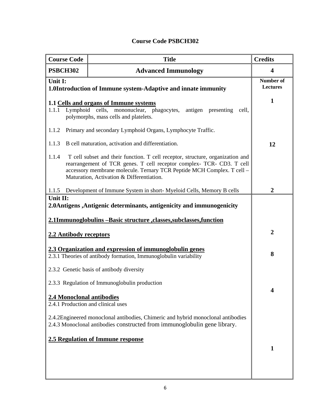| <b>Course Code PSBCH302</b> |  |
|-----------------------------|--|
|-----------------------------|--|

| <b>Course Code</b><br><b>Title</b>                                               |                                                                                                                                                                                                                                                                                | <b>Credits</b>        |
|----------------------------------------------------------------------------------|--------------------------------------------------------------------------------------------------------------------------------------------------------------------------------------------------------------------------------------------------------------------------------|-----------------------|
| <b>PSBCH302</b><br><b>Advanced Immunology</b>                                    |                                                                                                                                                                                                                                                                                | 4                     |
| Unit I:                                                                          | 1.0Introduction of Immune system-Adaptive and innate immunity                                                                                                                                                                                                                  | Number of<br>Lectures |
| 1.1.1                                                                            | 1.1 Cells and organs of Immune systems<br>Lymphoid cells, mononuclear, phagocytes, antigen presenting<br>cell,<br>polymorphs, mass cells and platelets.                                                                                                                        | $\mathbf{1}$          |
| 1.1.2                                                                            | Primary and secondary Lymphoid Organs, Lymphocyte Traffic.                                                                                                                                                                                                                     |                       |
| 1.1.3                                                                            | B cell maturation, activation and differentiation.                                                                                                                                                                                                                             | 12                    |
| 1.1.4                                                                            | T cell subset and their function. T cell receptor, structure, organization and<br>rearrangement of TCR genes. T cell receptor complex- TCR- CD3. T cell<br>accessory membrane molecule. Ternary TCR Peptide MCH Complex. T cell -<br>Maturation, Activation & Differentiation. |                       |
| 1.1.5                                                                            | Development of Immune System in short-Myeloid Cells, Memory B cells                                                                                                                                                                                                            | $\overline{2}$        |
| Unit II:<br>2.0Antigens, Antigenic determinants, antigenicity and immunogenicity |                                                                                                                                                                                                                                                                                |                       |
| 2.1Immunoglobulins -Basic structure ,classes,subclasses,function                 |                                                                                                                                                                                                                                                                                |                       |
| 2.2 Antibody receptors                                                           |                                                                                                                                                                                                                                                                                | $\overline{2}$        |
|                                                                                  | 2.3 Organization and expression of immunoglobulin genes<br>2.3.1 Theories of antibody formation, Immunoglobulin variability                                                                                                                                                    | 8                     |
|                                                                                  | 2.3.2 Genetic basis of antibody diversity                                                                                                                                                                                                                                      |                       |
|                                                                                  | 2.3.3 Regulation of Immunoglobulin production                                                                                                                                                                                                                                  |                       |
| 2.4 Monoclonal antibodies<br>2.4.1 Production and clinical uses                  |                                                                                                                                                                                                                                                                                | 4                     |
|                                                                                  | 2.4.2Engineered monoclonal antibodies, Chimeric and hybrid monoclonal antibodies<br>2.4.3 Monoclonal antibodies constructed from immunoglobulin gene library.                                                                                                                  |                       |
|                                                                                  | 1                                                                                                                                                                                                                                                                              |                       |
|                                                                                  | <b>2.5 Regulation of Immune response</b>                                                                                                                                                                                                                                       |                       |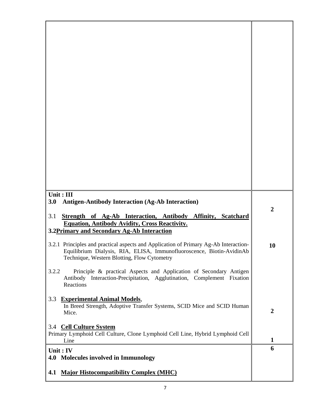| Unit: III<br><b>Antigen-Antibody Interaction (Ag-Ab Interaction)</b><br>3.0                                                                                                                                  | $\boldsymbol{2}$ |
|--------------------------------------------------------------------------------------------------------------------------------------------------------------------------------------------------------------|------------------|
| Strength of Ag-Ab Interaction, Antibody Affinity, Scatchard<br>3.1<br><b>Equation, Antibody Avidity, Cross Reactivity.</b><br>3.2Primary and Secondary Ag-Ab Interaction                                     |                  |
| 3.2.1 Principles and practical aspects and Application of Primary Ag-Ab Interaction-<br>Equilibrium Dialysis, RIA, ELISA, Immunofluoroscence, Biotin-AvidinAb<br>Technique, Western Blotting, Flow Cytometry | 10               |
| 3.2.2<br>Principle & practical Aspects and Application of Secondary Antigen<br>Antibody Interaction-Precipitation, Agglutination, Complement Fixation<br>Reactions                                           |                  |
| 3.3 Experimental Animal Models,<br>In Breed Strength, Adoptive Transfer Systems, SCID Mice and SCID Human<br>Mice.                                                                                           | $\boldsymbol{2}$ |
| 3.4 Cell Culture System<br>Primary Lymphoid Cell Culture, Clone Lymphoid Cell Line, Hybrid Lymphoid Cell<br>Line                                                                                             | 1                |
| Unit: IV<br>4.0 Molecules involved in Immunology                                                                                                                                                             | 6                |
| 4.1 Major Histocompatibility Complex (MHC)                                                                                                                                                                   |                  |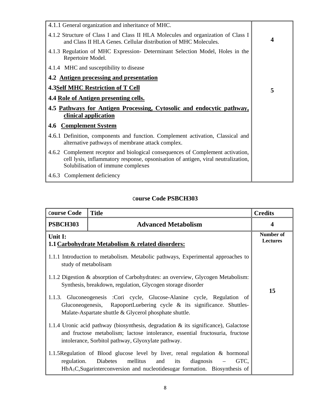| 4.1.1 General organization and inheritance of MHC.                                                                                                                                                         |   |
|------------------------------------------------------------------------------------------------------------------------------------------------------------------------------------------------------------|---|
| 4.1.2 Structure of Class I and Class II HLA Molecules and organization of Class I<br>and Class II HLA Genes. Cellular distribution of MHC Molecules.                                                       | 4 |
| 4.1.3 Regulation of MHC Expression- Determinant Selection Model, Holes in the<br>Repertoire Model.                                                                                                         |   |
| 4.1.4 MHC and susceptibility to disease                                                                                                                                                                    |   |
| 4.2 Antigen processing and presentation                                                                                                                                                                    |   |
| <b>4.3Self MHC Restriction of T Cell</b>                                                                                                                                                                   | 5 |
| 4.4 Role of Antigen presenting cells.                                                                                                                                                                      |   |
| 4.5 Pathways for Antigen Processing, Cytosolic and endocytic pathway,<br>clinical application                                                                                                              |   |
| <b>Complement System</b><br>4.6                                                                                                                                                                            |   |
| 4.6.1 Definition, components and function. Complement activation, Classical and<br>alternative pathways of membrane attack complex.                                                                        |   |
| 4.6.2 Complement receptor and biological consequences of Complement activation,<br>cell lysis, inflammatory response, opsonisation of antigen, viral neutralization,<br>Solubilisation of immune complexes |   |
| 4.6.3 Complement deficiency                                                                                                                                                                                |   |

| <b>Course Code</b>   | <b>Title</b>                                                                                                                                                                                                                  | <b>Credits</b>               |
|----------------------|-------------------------------------------------------------------------------------------------------------------------------------------------------------------------------------------------------------------------------|------------------------------|
| <b>PSBCH303</b>      | <b>Advanced Metabolism</b>                                                                                                                                                                                                    | 4                            |
| Unit I:              | 1.1 Carbohydrate Metabolism & related disorders:                                                                                                                                                                              | <b>Number of</b><br>Lectures |
| study of metabolisam | 1.1.1 Introduction to metabolism. Metabolic pathways, Experimental approaches to                                                                                                                                              |                              |
|                      | 1.1.2 Digestion & absorption of Carbohydrates: an overview, Glycogen Metabolism:<br>Synthesis, breakdown, regulation, Glycogen storage disorder                                                                               |                              |
|                      | 1.1.3. Gluconeogenesis :Cori cycle, Glucose-Alanine cycle, Regulation of<br>Gluconeogenesis, RapoportLuebering cycle $\&$ its significance. Shuttles-<br>Malate-Aspartate shuttle & Glycerol phosphate shuttle.               | 15                           |
|                      | 1.1.4 Uronic acid pathway (biosynthesis, degradation $\&$ its significance), Galactose<br>and fructose metabolism; lactose intolerance, essential fructosuria, fructose<br>intolerance, Sorbitol pathway, Glyoxylate pathway. |                              |
| regulation.          | 1.1.5 Regulation of Blood glucose level by liver, renal regulation & hormonal<br>mellitus<br>Diabetes<br>its<br>diagnosis<br>GTC,<br>and<br>$HbA1C$ , Sugarinterconversion and nucleotidesugar formation. Biosynthesis of     |                              |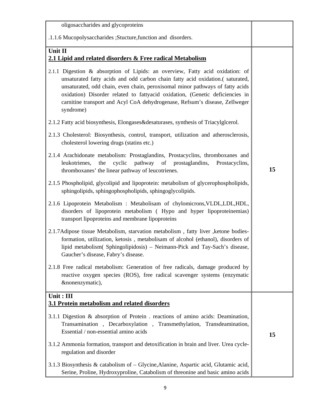| oligosaccharides and glycoproteins                                                                                                                                                                                                                                                                                                                                                                                          |    |
|-----------------------------------------------------------------------------------------------------------------------------------------------------------------------------------------------------------------------------------------------------------------------------------------------------------------------------------------------------------------------------------------------------------------------------|----|
| .1.1.6 Mucopolysaccharides ; Stucture, function and disorders.                                                                                                                                                                                                                                                                                                                                                              |    |
| Unit II<br>2.1 Lipid and related disorders & Free radical Metabolism                                                                                                                                                                                                                                                                                                                                                        |    |
| 2.1.1 Digestion & absorption of Lipids: an overview, Fatty acid oxidation: of<br>unsaturated fatty acids and odd carbon chain fatty acid oxidation.(saturated,<br>unsaturated, odd chain, even chain, peroxisomal minor pathways of fatty acids<br>oxidation) Disorder related to fattyacid oxidation, (Genetic deficiencies in<br>carnitine transport and Acyl CoA dehydrogenase, Refsum's disease, Zellweger<br>syndrome) |    |
| 2.1.2 Fatty acid biosynthesis, Elongases&desaturases, synthesis of Triacylglcerol.                                                                                                                                                                                                                                                                                                                                          |    |
| 2.1.3 Cholesterol: Biosynthesis, control, transport, utilization and atherosclerosis,<br>cholesterol lowering drugs (statins etc.)                                                                                                                                                                                                                                                                                          |    |
| 2.1.4 Arachidonate metabolism: Prostaglandins, Prostacyclins, thromboxanes and<br>leukotrienes,<br>the<br>cyclic<br>pathway of<br>prostaglandins,<br>Prostacyclins,<br>thromboxanes' the linear pathway of leucotrienes.                                                                                                                                                                                                    | 15 |
| 2.1.5 Phospholipid, glycolipid and lipoprotein: metabolism of glycerophospholipids,<br>sphingolipids, sphingophospholipids, sphingoglycolipids.                                                                                                                                                                                                                                                                             |    |
| 2.1.6 Lipoprotein Metabolism : Metabolisam of chylomicrons, VLDL, LDL, HDL,<br>disorders of lipoprotein metabolism (Hypo and hyper lipoproteinemias)<br>transport lipoproteins and membrane lipoproteins                                                                                                                                                                                                                    |    |
| 2.1.7Adipose tissue Metabolism, starvation metabolism, fatty liver, ketone bodies-<br>formation, utilization, ketosis, metabolisam of alcohol (ethanol), disorders of<br>lipid metabolism( Sphingolipidosis) - Neimann-Pick and Tay-Sach's disease,<br>Gaucher's disease, Fabry's disease.                                                                                                                                  |    |
| 2.1.8 Free radical metabolism: Generation of free radicals, damage produced by<br>reactive oxygen species (ROS), free radical scavenger systems (enzymatic<br>&nonenzymatic),                                                                                                                                                                                                                                               |    |
| Unit: III<br>3.1 Protein metabolism and related disorders                                                                                                                                                                                                                                                                                                                                                                   |    |
| 3.1.1 Digestion & absorption of Protein . reactions of amino acids: Deamination,<br>Transamination, Decarboxylation, Transmethylation, Transdeamination,<br>Essential / non-essential amino acids                                                                                                                                                                                                                           | 15 |
| 3.1.2 Ammonia formation, transport and detoxification in brain and liver. Urea cycle-<br>regulation and disorder                                                                                                                                                                                                                                                                                                            |    |
| 3.1.3 Biosynthesis & catabolism of – Glycine, Alanine, Aspartic acid, Glutamic acid,<br>Serine, Proline, Hydroxyproline, Catabolism of threonine and basic amino acids                                                                                                                                                                                                                                                      |    |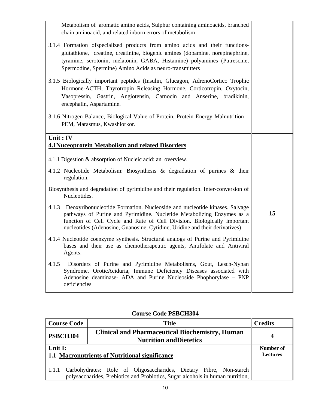| Metabolism of aromatic amino acids, Sulphur containing aminoacids, branched<br>chain aminoacid, and related inborn errors of metabolism                                                                                                                                                                                 |    |
|-------------------------------------------------------------------------------------------------------------------------------------------------------------------------------------------------------------------------------------------------------------------------------------------------------------------------|----|
| 3.1.4 Formation of specialized products from a mino acids and their functions-<br>glutathione, creatine, creatinine, biogenic amines (dopamine, norepinephrine,<br>tyramine, serotonin, melatonin, GABA, Histamine) polyamines (Putrescine,<br>Spermodine, Spermine) Amino Acids as neuro-transmitters                  |    |
| 3.1.5 Biologically important peptides (Insulin, Glucagon, AdrenoCortico Trophic<br>Hormone-ACTH, Thyrotropin Releasing Hormone, Corticotropin, Oxytocin,<br>Vasopressin, Gastrin, Angiotensin, Carnocin and Anserine, bradikinin,<br>encephalin, Aspartamine.                                                           |    |
| 3.1.6 Nitrogen Balance, Biological Value of Protein, Protein Energy Malnutrition -<br>PEM, Marasmus, Kwashiorkor.                                                                                                                                                                                                       |    |
| Unit: IV<br>4.1Nuceoprotein Metabolism and related Disorders                                                                                                                                                                                                                                                            |    |
|                                                                                                                                                                                                                                                                                                                         |    |
| 4.1.1 Digestion & absorption of Nucleic acid: an overview.                                                                                                                                                                                                                                                              |    |
| 4.1.2 Nucleotide Metabolism: Biosynthesis & degradation of purines & their<br>regulation.                                                                                                                                                                                                                               |    |
| Biosynthesis and degradation of pyrimidine and their regulation. Inter-conversion of<br>Nucleotides.                                                                                                                                                                                                                    |    |
| Deoxyribonucleotide Formation. Nucleoside and nucleotide kinases. Salvage<br>4.1.3<br>pathways of Purine and Pyrimidine. Nucletide Metabolizing Enzymes as a<br>function of Cell Cycle and Rate of Cell Division. Biologically important<br>nucleotides (Adenosine, Guanosine, Cytidine, Uridine and their derivatives) | 15 |
| 4.1.4 Nucleotide coenzyme synthesis. Structural analogs of Purine and Pyrimidine<br>bases and their use as chemotherapeutic agents, Antifolate and Antiviral<br>Agents.                                                                                                                                                 |    |
| Disorders of Purine and Pyrimidine Metabolisms, Gout, Lesch-Nyhan<br>4.1.5<br>Syndrome, OroticAciduria, Immune Deficiency Diseases associated with<br>Adenosine deaminase- ADA and Purine Nucleoside Phophorylase - PNP<br>deficiencies                                                                                 |    |
|                                                                                                                                                                                                                                                                                                                         |    |

| <b>Course Code PSBCH304</b> |  |  |
|-----------------------------|--|--|
|-----------------------------|--|--|

|                                                | <b>Course Code</b> |  |  |           | <b>Title</b>                                                                             |  |  | <b>Credits</b> |
|------------------------------------------------|--------------------|--|--|-----------|------------------------------------------------------------------------------------------|--|--|----------------|
| PSBCH304                                       |                    |  |  |           | <b>Clinical and Pharmaceutical Biochemistry, Human</b><br><b>Nutrition and Dietetics</b> |  |  |                |
| Unit I:                                        |                    |  |  | Number of |                                                                                          |  |  |                |
| 1.1 Macronutrients of Nutritional significance |                    |  |  |           | Lectures                                                                                 |  |  |                |
|                                                |                    |  |  |           |                                                                                          |  |  |                |
| 1.1.1                                          |                    |  |  |           | Carbohydrates: Role of Oligosaccharides, Dietary Fibre, Non-starch                       |  |  |                |
|                                                |                    |  |  |           | polysaccharides, Prebiotics and Probiotics, Sugar alcohols in human nutrition,           |  |  |                |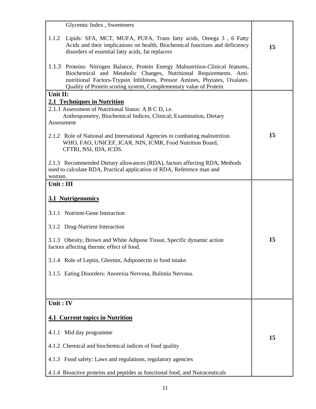| Glycemic Index, Sweeteners                                                                                                                                                                                                                                                                                    |    |
|---------------------------------------------------------------------------------------------------------------------------------------------------------------------------------------------------------------------------------------------------------------------------------------------------------------|----|
| 1.1.2<br>Lipids: SFA, MCT, MUFA, PUFA, Trans fatty acids, Omega 3, 6 Fatty<br>Acids and their implications on health, Biochemical functions and deficiency<br>disorders of essential fatty acids, fat replacers                                                                                               | 15 |
| Proteins: Nitrogen Balance, Protein Energy Malnutrition-Clinical features,<br>1.1.3<br>Biochemical and Metabolic Changes, Nutritional Requirements. Anti-<br>nutritional Factors-Trypsin Inhibitors, Pressor Amines, Phytates, Oxalates.<br>Quality of Protein scoring system, Complementary value of Protein |    |
| Unit II:                                                                                                                                                                                                                                                                                                      |    |
| 2.1 Techniques in Nutrition<br>2.1.1 Assessment of Nutritional Status: A B C D, i.e.<br>Anthropometry, Biochemical Indices, Clinical; Examination, Dietary<br>Assessment                                                                                                                                      |    |
| 2.1.2 Role of National and International Agencies in combating malnutrition<br>WHO, FAO, UNICEF, ICAR, NIN, ICMR, Food Nutrition Board,<br>CFTRI, NSI, IDA, ICDS.                                                                                                                                             | 15 |
| 2.1.3 Recommended Dietary allowances (RDA), factors affecting RDA, Methods<br>used to calculate RDA, Practical application of RDA, Reference man and<br>woman.                                                                                                                                                |    |
| Unit: III                                                                                                                                                                                                                                                                                                     |    |
| 3.1 Nutrigenomics                                                                                                                                                                                                                                                                                             |    |
| 3.1.1 Nutrient-Gene Interaction                                                                                                                                                                                                                                                                               |    |
| 3.1.2 Drug-Nutrient Interaction                                                                                                                                                                                                                                                                               |    |
| 3.1.3 Obesity, Brown and White Adipose Tissue, Specific dynamic action<br>factors affecting thermic effect of food.                                                                                                                                                                                           | 15 |
| 3.1.4 Role of Leptin, Ghrenin, Adiponectin in food intake.                                                                                                                                                                                                                                                    |    |
| 3.1.5 Eating Disorders: Anorexia Nervosa, Bulimia Nervosa.                                                                                                                                                                                                                                                    |    |
|                                                                                                                                                                                                                                                                                                               |    |
| Unit: IV                                                                                                                                                                                                                                                                                                      |    |
| <b>4.1 Current topics in Nutrition</b>                                                                                                                                                                                                                                                                        |    |
| Mid day programme<br>4.1.1                                                                                                                                                                                                                                                                                    | 15 |
| 4.1.2 Chemical and biochemical indices of food quality                                                                                                                                                                                                                                                        |    |
| 4.1.3 Food safety: Laws and regulations, regulatory agencies                                                                                                                                                                                                                                                  |    |
| 4.1.4 Bioactive proteins and peptides as functional food, and Nutraceuticals                                                                                                                                                                                                                                  |    |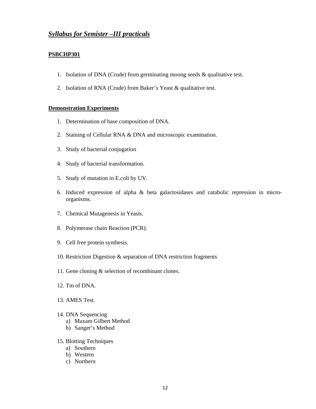## *Syllabus for Semister –III practicals*

### **PSBCHP301**

- 1. Isolation of DNA (Crude) from germinating moong seeds & qualitative test.
- 2. Isolation of RNA (Crude) from Baker's Yeast & qualitative test.

### **Demonstration Experiments**

- 1. Determination of base composition of DNA.
- 2. Staining of Cellular RNA & DNA and microscopic examination.
- 3. Study of bacterial conjugation
- 4. Study of bacterial transformation.
- 5. Study of mutation in E.coli by UV.
- 6. Induced expression of alpha & beta galactosidases and catabolic repression in microorganisms.
- 7. Chemical Mutagenesis in Yeasts.
- 8. Polymerase chain Reaction (PCR).
- 9. Cell free protein synthesis.
- 10. Restriction Digestion & separation of DNA restriction fragments
- 11. Gene cloning & selection of recombinant clones.
- 12. Tm of DNA.
- 13. AMES Test.
- 14. DNA Sequencing
	- a) Maxam Gilbert Method
	- b) Sanger's Method
- 15. Blotting Techniques
	- a) Southern
	- b) Western
	- c) Northern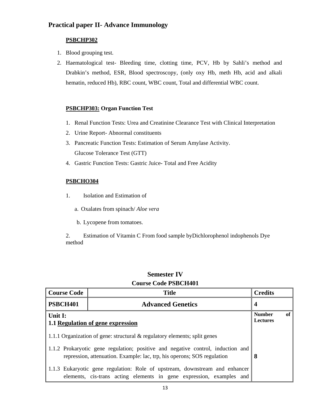## **Practical paper II- Advance Immunology**

## **PSBCHP302**

- 1. Blood grouping test.
- 2. Haematological test- Bleeding time, clotting time, PCV, Hb by Sahli's method and Drabkin's method, ESR, Blood spectroscopy, (only oxy Hb, meth Hb, acid and alkali hematin, reduced Hb), RBC count, WBC count, Total and differential WBC count.

## **PSBCHP303: Organ Function Test**

- 1. Renal Function Tests: Urea and Creatinine Clearance Test with Clinical Interpretation
- 2. Urine Report- Abnormal constituents
- 3. Pancreatic Function Tests: Estimation of Serum Amylase Activity. Glucose Tolerance Test (GTT)
- 4. Gastric Function Tests: Gastric Juice- Total and Free Acidity

## **PSBCHO304**

- 1. Isolation and Estimation of
	- a. Oxalates from spinach/ *Aloe vera*
	- b. Lycopene from tomatoes.

2. Estimation of Vitamin C From food sample byDichlorophenol indophenols Dye method

| Course Coue I SDC11401                                                                                                                                     |                                                                                                                                                     |                |  |  |  |
|------------------------------------------------------------------------------------------------------------------------------------------------------------|-----------------------------------------------------------------------------------------------------------------------------------------------------|----------------|--|--|--|
| <b>Course Code</b>                                                                                                                                         | <b>Title</b>                                                                                                                                        | <b>Credits</b> |  |  |  |
| PSBCH401                                                                                                                                                   | 4                                                                                                                                                   |                |  |  |  |
| Unit I:<br>1.1 Regulation of gene expression                                                                                                               | <b>Number</b><br><b>Lectures</b>                                                                                                                    | of             |  |  |  |
| 1.1.1 Organization of gene: structural & regulatory elements; split genes                                                                                  |                                                                                                                                                     |                |  |  |  |
| 1.1.2 Prokaryotic gene regulation; positive and negative control, induction and<br>repression, attenuation. Example: lac, trp, his operons; SOS regulation | 8                                                                                                                                                   |                |  |  |  |
|                                                                                                                                                            | 1.1.3 Eukaryotic gene regulation: Role of upstream, downstream and enhancer<br>elements, cis-trans acting elements in gene expression, examples and |                |  |  |  |

## **Semester IV Course Code PSBCH401**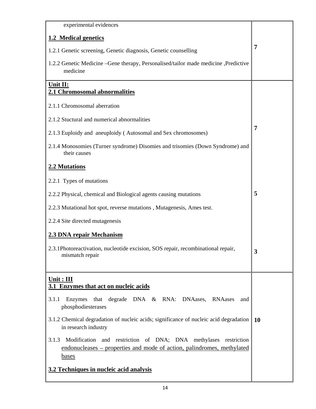| experimental evidences                                                                                                                                             |           |
|--------------------------------------------------------------------------------------------------------------------------------------------------------------------|-----------|
| 1.2 Medical genetics                                                                                                                                               |           |
| 1.2.1 Genetic screening, Genetic diagnosis, Genetic counselling                                                                                                    | 7         |
| 1.2.2 Genetic Medicine – Gene therapy, Personalised/tailor made medicine , Predictive<br>medicine                                                                  |           |
| Unit II:<br>2.1 Chromosomal abnormalities                                                                                                                          |           |
| 2.1.1 Chromosomal aberration                                                                                                                                       |           |
| 2.1.2 Stuctural and numerical abnormalities                                                                                                                        |           |
| 2.1.3 Euploidy and aneuploidy (Autosomal and Sex chromosomes)                                                                                                      | 7         |
| 2.1.4 Monosomies (Turner syndrome) Disomies and trisomies (Down Syndrome) and<br>their causes                                                                      |           |
| 2.2 Mutations                                                                                                                                                      |           |
| 2.2.1 Types of mutations                                                                                                                                           |           |
| 2.2.2 Physical, chemical and Biological agents causing mutations                                                                                                   | 5         |
| 2.2.3 Mutational hot spot, reverse mutations, Mutagenesis, Ames test.                                                                                              |           |
| 2.2.4 Site directed mutagenesis                                                                                                                                    |           |
| 2.3 DNA repair Mechanism                                                                                                                                           |           |
| 2.3.1Photoreactivation, nucleotide excision, SOS repair, recombinational repair,<br>mismatch repair                                                                |           |
| Unit: III<br>3.1 Enzymes that act on nucleic acids                                                                                                                 |           |
| that degrade DNA & RNA: DNAases, RNAases<br>Enzymes<br>3.1.1<br>and<br>phosphodiesterases                                                                          |           |
| 3.1.2 Chemical degradation of nucleic acids; significance of nucleic acid degradation<br>in research industry                                                      | <b>10</b> |
| Modification and restriction of DNA; DNA methylases restriction<br>3.1.3<br>endonucleases – properties and mode of action, palindromes, methylated<br><u>bases</u> |           |
| 3.2 Techniques in nucleic acid analysis                                                                                                                            |           |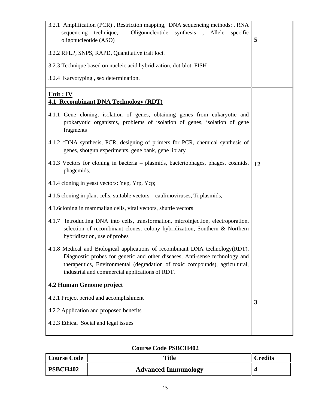| 3.2.1 Amplification (PCR), Restriction mapping, DNA sequencing methods:, RNA<br>Oligonucleotide<br>sequencing technique,<br>synthesis,<br>Allele<br>specific<br>oligonucleotide (ASO)                                                                                                         | 5  |
|-----------------------------------------------------------------------------------------------------------------------------------------------------------------------------------------------------------------------------------------------------------------------------------------------|----|
| 3.2.2 RFLP, SNPS, RAPD, Quantitative trait loci.                                                                                                                                                                                                                                              |    |
| 3.2.3 Technique based on nucleic acid hybridization, dot-blot, FISH                                                                                                                                                                                                                           |    |
| 3.2.4 Karyotyping, sex determination.                                                                                                                                                                                                                                                         |    |
| Unit : IV<br><b>4.1 Recombinant DNA Technology (RDT)</b>                                                                                                                                                                                                                                      |    |
| 4.1.1 Gene cloning, isolation of genes, obtaining genes from eukaryotic and<br>prokaryotic organisms, problems of isolation of genes, isolation of gene<br>fragments                                                                                                                          |    |
| 4.1.2 cDNA synthesis, PCR, designing of primers for PCR, chemical synthesis of<br>genes, shotgun experiments, gene bank, gene library                                                                                                                                                         |    |
| 4.1.3 Vectors for cloning in bacteria – plasmids, bacteriophages, phages, cosmids,<br>phagemids,                                                                                                                                                                                              | 12 |
| 4.1.4 cloning in yeast vectors: Yep, Yrp, Ycp;                                                                                                                                                                                                                                                |    |
| 4.1.5 cloning in plant cells, suitable vectors – caulimoviruses, Ti plasmids,                                                                                                                                                                                                                 |    |
| 4.1.6 cloning in mammalian cells, viral vectors, shuttle vectors                                                                                                                                                                                                                              |    |
| Introducting DNA into cells, transformation, microinjection, electroporation,<br>4.1.7<br>selection of recombinant clones, colony hybridization, Southern & Northern<br>hybridization, use of probes                                                                                          |    |
| 4.1.8 Medical and Biological applications of recombinant DNA technology(RDT),<br>Diagnostic probes for genetic and other diseases, Anti-sense technology and<br>therapeutics, Environmental (degradation of toxic compounds), agricultural,<br>industrial and commercial applications of RDT. |    |
| <b>4.2 Human Genome project</b>                                                                                                                                                                                                                                                               |    |
| 4.2.1 Project period and accomplishment                                                                                                                                                                                                                                                       | 3  |
| 4.2.2 Application and proposed benefits                                                                                                                                                                                                                                                       |    |
| 4.2.3 Ethical Social and legal issues                                                                                                                                                                                                                                                         |    |

| Course Code     | <b>Title</b>               | <b>Credits</b> |
|-----------------|----------------------------|----------------|
| <b>PSBCH402</b> | <b>Advanced Immunology</b> |                |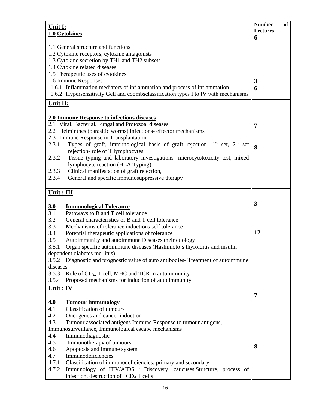| Unit I:      |                                                                                    | <b>Number</b><br>of |  |  |  |  |  |
|--------------|------------------------------------------------------------------------------------|---------------------|--|--|--|--|--|
|              | 1.0 Cytokines                                                                      | Lectures            |  |  |  |  |  |
|              |                                                                                    | 6                   |  |  |  |  |  |
|              | 1.1 General structure and functions                                                |                     |  |  |  |  |  |
|              | 1.2 Cytokine receptors, cytokine antagonists                                       |                     |  |  |  |  |  |
|              | 1.3 Cytokine secretion by TH1 and TH2 subsets                                      |                     |  |  |  |  |  |
|              | 1.4 Cytokine related diseases                                                      |                     |  |  |  |  |  |
|              | 1.5 Therapeutic uses of cytokines                                                  |                     |  |  |  |  |  |
|              | 1.6 Immune Responses                                                               | 3                   |  |  |  |  |  |
|              | 1.6.1 Inflammation mediators of inflammation and process of inflammation           | 6                   |  |  |  |  |  |
|              | 1.6.2 Hypersensitivity Gell and coombsclassification types I to IV with mechanisms |                     |  |  |  |  |  |
| Unit II:     |                                                                                    |                     |  |  |  |  |  |
|              | 2.0 Immune Response to infectious diseases                                         |                     |  |  |  |  |  |
|              | 2.1 Viral, Bacterial, Fungal and Protozoal diseases                                |                     |  |  |  |  |  |
|              | 2.2 Helminthes (parasitic worms) infections- effector mechanisms                   | $\overline{7}$      |  |  |  |  |  |
|              | 2.3 Immune Response in Transplantation                                             |                     |  |  |  |  |  |
| 2.3.1        | Types of graft, immunological basis of graft rejection- $1st$ set, $2nd$ set       |                     |  |  |  |  |  |
|              | rejection-role of T lymphocytes                                                    | 8                   |  |  |  |  |  |
| 2.3.2        | Tissue typing and laboratory investigations- microcytotoxicity test, mixed         |                     |  |  |  |  |  |
|              | lymphocyte reaction (HLA Typing)                                                   |                     |  |  |  |  |  |
| 2.3.3        | Clinical manifestation of graft rejection,                                         |                     |  |  |  |  |  |
| 2.3.4        | General and specific immunosuppressive therapy                                     |                     |  |  |  |  |  |
|              |                                                                                    |                     |  |  |  |  |  |
| $Unit : III$ |                                                                                    |                     |  |  |  |  |  |
|              |                                                                                    | $\mathbf{3}$        |  |  |  |  |  |
| 3.0<br>3.1   | <b>Immunological Tolerance</b><br>Pathways to B and T cell tolerance               |                     |  |  |  |  |  |
| 3.2          | General characteristics of B and T cell tolerance                                  |                     |  |  |  |  |  |
| 3.3          | Mechanisms of tolerance inductions self tolerance                                  |                     |  |  |  |  |  |
| 3.4          | Potential therapeutic applications of tolerance                                    | 12                  |  |  |  |  |  |
| 3.5          | Autoimmunity and autoimmune Diseases their etiology                                |                     |  |  |  |  |  |
| 3.5.1        | Organ specific autoimmune diseases (Hashimoto's thyroiditis and insulin            |                     |  |  |  |  |  |
|              | dependent diabetes mellitus)                                                       |                     |  |  |  |  |  |
| 3.5.2        | Diagnostic and prognostic value of auto antibodies- Treatment of autoimmune        |                     |  |  |  |  |  |
| diseases     |                                                                                    |                     |  |  |  |  |  |
| 3.5.3        | Role of CD <sub>4</sub> , T cell, MHC and TCR in autoimmunity                      |                     |  |  |  |  |  |
| 3.5.4        | Proposed mechanisms for induction of auto immunity                                 |                     |  |  |  |  |  |
| $Unit : IV$  |                                                                                    |                     |  |  |  |  |  |
|              |                                                                                    | $\overline{7}$      |  |  |  |  |  |
| 4.0          | <b>Tumour Immunology</b>                                                           |                     |  |  |  |  |  |
| 4.1          | <b>Classification of tumours</b>                                                   |                     |  |  |  |  |  |
| 4.2          | Oncogenes and cancer induction                                                     |                     |  |  |  |  |  |
| 4.3          | Tumour associated antigens Immune Response to tumour antigens,                     |                     |  |  |  |  |  |
|              | Immunosurveillance, Immunological escape mechanisms                                |                     |  |  |  |  |  |
| 4.4          | Immunodiagnostic                                                                   |                     |  |  |  |  |  |
| 4.5          | Immunotherapy of tumours                                                           |                     |  |  |  |  |  |
| 4.6          | Apoptosis and immune system                                                        | 8                   |  |  |  |  |  |
| 4.7          | Immunodeficiencies                                                                 |                     |  |  |  |  |  |
| 4.7.1        | Classification of immunodeficiencies: primary and secondary                        |                     |  |  |  |  |  |
| 4.7.2        | Immunology of HIV/AIDS : Discovery ,caucuses, Structure, process of                |                     |  |  |  |  |  |
|              | infection, destruction of CD <sub>4</sub> T cells                                  |                     |  |  |  |  |  |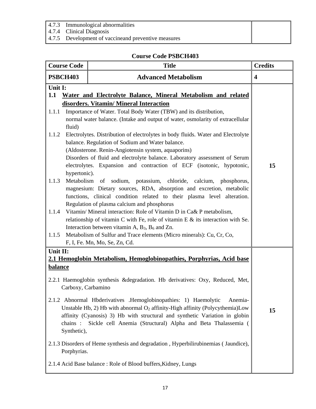- 4.7.3 Immunological abnormalities
- 4.7.4 Clinical Diagnosis
- 4.7.5 Development of vaccineand preventive measures

| <b>Course Code</b>                                          |                                                              | <b>Title</b>                                                                                                                                                                                                                                                                                                                                                                                                                                                                                                                                                                                                                                                                                                                                                                                                                                                                                                                                                                                                                                                                                                                                                                                                             | <b>Credits</b>          |
|-------------------------------------------------------------|--------------------------------------------------------------|--------------------------------------------------------------------------------------------------------------------------------------------------------------------------------------------------------------------------------------------------------------------------------------------------------------------------------------------------------------------------------------------------------------------------------------------------------------------------------------------------------------------------------------------------------------------------------------------------------------------------------------------------------------------------------------------------------------------------------------------------------------------------------------------------------------------------------------------------------------------------------------------------------------------------------------------------------------------------------------------------------------------------------------------------------------------------------------------------------------------------------------------------------------------------------------------------------------------------|-------------------------|
| <b>PSBCH403</b>                                             |                                                              | <b>Advanced Metabolism</b>                                                                                                                                                                                                                                                                                                                                                                                                                                                                                                                                                                                                                                                                                                                                                                                                                                                                                                                                                                                                                                                                                                                                                                                               | $\overline{\mathbf{4}}$ |
| Unit I:<br>1.1<br>1.1.1<br>1.1.2<br>1.1.3<br>1.1.4<br>1.1.5 | fluid)<br>hypertonic).                                       | Water and Electrolyte Balance, Mineral Metabolism and related<br>disorders. Vitamin/ Mineral Interaction<br>Importance of Water. Total Body Water (TBW) and its distribution,<br>normal water balance. (Intake and output of water, osmolarity of extracellular<br>Electrolytes. Distribution of electrolytes in body fluids. Water and Electrolyte<br>balance. Regulation of Sodium and Water balance.<br>(Aldosterone. Renin-Angiotensin system, aquaporins)<br>Disorders of fluid and electrolyte balance. Laboratory assessment of Serum<br>electrolytes. Expansion and contraction of ECF (isotonic, hypotonic,<br>Metabolism of sodium, potassium, chloride, calcium, phosphorus,<br>magnesium: Dietary sources, RDA, absorption and excretion, metabolic<br>functions, clinical condition related to their plasma level alteration.<br>Regulation of plasma calcium and phosphorus<br>Vitamin/Mineral interaction: Role of Vitamin D in Ca& P metabolism,<br>relationship of vitamin C with Fe, role of vitamin E $\&$ its interaction with Se.<br>Interaction between vitamin A, $B_3$ , $B_6$ and Zn.<br>Metabolism of Sulfur and Trace elements (Micro minerals): Cu, Cr, Co,<br>F, I, Fe. Mn, Mo, Se, Zn, Cd. | 15                      |
| Unit II:<br><b>balance</b>                                  | Carboxy, Carbamino<br>chains :<br>Synthetic),<br>Porphyrias. | 2.1 Hemoglobin Metabolism, Hemoglobinopathies, Porphyrias, Acid base<br>2.2.1 Haemoglobin synthesis &degradation. Hb derivatives: Oxy, Reduced, Met,<br>2.1.2 Abnormal Hbderivatives .Hemoglobinopathies: 1) Haemolytic<br>Anemia-<br>Unstable Hb, 2) Hb with abnormal O <sub>2</sub> affinity-High affinity (Polycythemia)Low<br>affinity (Cyanosis) 3) Hb with structural and synthetic Variation in globin<br>Sickle cell Anemia (Structural) Alpha and Beta Thalassemia (<br>2.1.3 Disorders of Heme synthesis and degradation, Hyperbilirubinemias (Jaundice),<br>2.1.4 Acid Base balance: Role of Blood buffers, Kidney, Lungs                                                                                                                                                                                                                                                                                                                                                                                                                                                                                                                                                                                     | 15                      |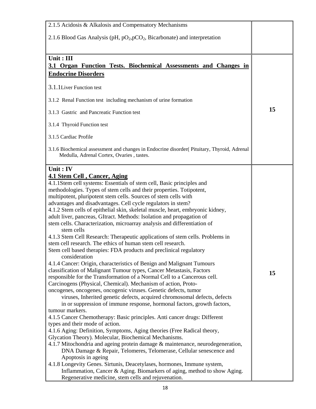| 2.1.5 Acidosis & Alkalosis and Compensatory Mechanisms                                                                                   |    |
|------------------------------------------------------------------------------------------------------------------------------------------|----|
| 2.1.6 Blood Gas Analysis (pH, $pO_2$ , $pCO_2$ , Bicarbonate) and interpretation                                                         |    |
|                                                                                                                                          |    |
|                                                                                                                                          |    |
| Unit: III                                                                                                                                |    |
| 3.1 Organ Function Tests. Biochemical Assessments and Changes in                                                                         |    |
| <b>Endocrine Disorders</b>                                                                                                               |    |
| 3.1.1 Liver Function test                                                                                                                |    |
| 3.1.2 Renal Function test including mechanism of urine formation                                                                         |    |
| 3.1.3 Gastric and Pancreatic Function test                                                                                               | 15 |
| 3.1.4 Thyroid Function test                                                                                                              |    |
| 3.1.5 Cardiac Profile                                                                                                                    |    |
| 3.1.6 Biochemical assessment and changes in Endocrine disorder (Pituitary, Thyroid, Adrenal<br>Medulla, Adrenal Cortex, Ovaries, tastes. |    |
| Unit: IV                                                                                                                                 |    |
| <b>4.1 Stem Cell, Cancer, Aging</b>                                                                                                      |    |
| 4.1.1Stem cell systems: Essentials of stem cell, Basic principles and                                                                    |    |
| methodologies. Types of stem cells and their properties. Totipotent,                                                                     |    |
| multipotent, pluripotent stem cells. Sources of stem cells with                                                                          |    |
| advantages and disadvantages. Cell cycle regulators in stem?                                                                             |    |
| 4.1.2 Stem cells of epithelial skin, skeletal muscle, heart, embryonic kidney,                                                           |    |
| adult liver, pancreas, GItract. Methods: Isolation and propagation of                                                                    |    |
| stem cells. Characterization, microarray analysis and differentiation of<br>stem cells                                                   |    |
| 4.1.3 Stem Cell Research: Therapeutic applications of stem cells. Problems in                                                            |    |
| stem cell research. The ethics of human stem cell research.                                                                              |    |
| Stem cell based therapies: FDA products and preclinical regulatory<br>consideration                                                      |    |
| 4.1.4 Cancer: Origin, characteristics of Benign and Malignant Tumours                                                                    |    |
| classification of Malignant Tumour types, Cancer Metastasis, Factors                                                                     |    |
| responsible for the Transformation of a Normal Cell to a Cancerous cell.                                                                 | 15 |
| Carcinogens (Physical, Chemical). Mechanism of action, Proto-                                                                            |    |
| oncogenes, oncogenes, oncogenic viruses. Genetic defects, tumor                                                                          |    |
| viruses, Inherited genetic defects, acquired chromosomal defects, defects                                                                |    |
| in or suppression of immune response, hormonal factors, growth factors,                                                                  |    |
| tumour markers.                                                                                                                          |    |
| 4.1.5 Cancer Chemotherapy: Basic principles. Anti cancer drugs: Different                                                                |    |
| types and their mode of action.                                                                                                          |    |
| 4.1.6 Aging: Definition, Symptoms, Aging theories (Free Radical theory,<br>Glycation Theory). Molecular, Biochemical Mechanisms.         |    |
| 4.1.7 Mitochondria and ageing protein damage & maintenance, neurodegeneration,                                                           |    |
| DNA Damage & Repair, Telomeres, Telomerase, Cellular senescence and<br>Apoptosis in ageing                                               |    |
| 4.1.8 Longevity Genes. Sirtunis, Deacetylases, hormones, Immune system,                                                                  |    |
| Inflammation, Cancer & Aging. Biomarkers of aging, method to show Aging.                                                                 |    |
| Regenerative medicine, stem cells and rejuvenation.                                                                                      |    |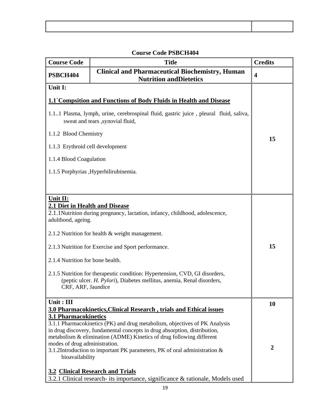$\lceil$ 

| <b>Course Code</b>                                                                                                                                                                                                                                                                                                                                                                                                                                                             | <b>Title</b>                                                                                                                                                                                                                                                                                                                                                                                                                                                                                                    | <b>Credits</b>                |
|--------------------------------------------------------------------------------------------------------------------------------------------------------------------------------------------------------------------------------------------------------------------------------------------------------------------------------------------------------------------------------------------------------------------------------------------------------------------------------|-----------------------------------------------------------------------------------------------------------------------------------------------------------------------------------------------------------------------------------------------------------------------------------------------------------------------------------------------------------------------------------------------------------------------------------------------------------------------------------------------------------------|-------------------------------|
| PSBCH404                                                                                                                                                                                                                                                                                                                                                                                                                                                                       | <b>Clinical and Pharmaceutical Biochemistry, Human</b><br><b>Nutrition and Dietetics</b>                                                                                                                                                                                                                                                                                                                                                                                                                        | $\overline{\mathbf{4}}$       |
| Unit I:<br>1.1.2 Blood Chemistry<br>1.1.3 Erythroid cell development<br>1.1.4 Blood Coagulation                                                                                                                                                                                                                                                                                                                                                                                | 1.1 Compsition and Functions of Body Fluids in Health and Disease<br>1.11 Plasma, lymph, urine, cerebrospinal fluid, gastric juice, pleural fluid, saliva,<br>sweat and tears , synovial fluid,<br>1.1.5 Porphyrias , Hyperbilirubinemia.                                                                                                                                                                                                                                                                       | 15                            |
| Unit II:<br>2.1 Diet in Health and Disease<br>2.1.1 Nutrition during pregnancy, lactation, infancy, childhood, adolescence,<br>adulthood, ageing.<br>2.1.2 Nutrition for health & weight management.<br>2.1.3 Nutrition for Exercise and Sport performance.<br>2.1.4 Nutrition for bone health.<br>2.1.5 Nutrition for therapeutic condition: Hypertension, CVD, GI disorders,<br>(peptic ulcer. H. Pylori), Diabetes mellitus, anemia, Renal disorders,<br>CRF, ARF, Jaundice |                                                                                                                                                                                                                                                                                                                                                                                                                                                                                                                 | 15                            |
| Unit: III<br><b>3.1 Pharmacokinetics</b><br>modes of drug administration.<br>bioavailability                                                                                                                                                                                                                                                                                                                                                                                   | 3.0 Pharmacokinetics, Clinical Research, trials and Ethical issues<br>3.1.1 Pharmacokinetics (PK) and drug metabolism, objectives of PK Analysis<br>in drug discovery, fundamental concepts in drug absorption, distribution,<br>metabolism & elimination (ADME) Kinetics of drug following different<br>3.1.2Introduction to important PK parameters, PK of oral administration &<br><b>3.2 Clinical Research and Trials</b><br>3.2.1 Clinical research- its importance, significance & rationale, Models used | <b>10</b><br>$\boldsymbol{2}$ |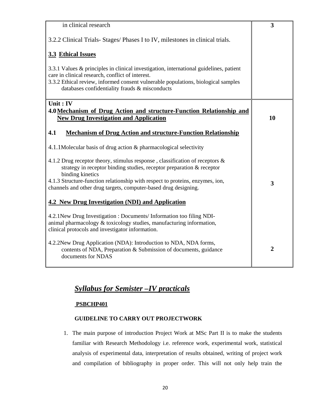| in clinical research                                                                                                                                                                                                                                                              | 3              |
|-----------------------------------------------------------------------------------------------------------------------------------------------------------------------------------------------------------------------------------------------------------------------------------|----------------|
| 3.2.2 Clinical Trials-Stages/Phases I to IV, milestones in clinical trials.                                                                                                                                                                                                       |                |
| 3.3 Ethical Issues                                                                                                                                                                                                                                                                |                |
| 3.3.1 Values & principles in clinical investigation, international guidelines, patient<br>care in clinical research, conflict of interest.<br>3.3.2 Ethical review, informed consent vulnerable populations, biological samples<br>databases confidentiality frauds & misconducts |                |
| Unit: IV<br>4.0 Mechanism of Drug Action and structure-Function Relationship and                                                                                                                                                                                                  |                |
| <b>New Drug Investigation and Application</b>                                                                                                                                                                                                                                     | 10             |
| 4.1<br><b>Mechanism of Drug Action and structure-Function Relationship</b>                                                                                                                                                                                                        |                |
| 4.1.1 Molecular basis of drug action & pharmacological selectivity                                                                                                                                                                                                                |                |
| 4.1.2 Drug receptor theory, stimulus response, classification of receptors $\&$<br>strategy in receptor binding studies, receptor preparation & receptor                                                                                                                          |                |
| binding kinetics<br>4.1.3 Structure-function relationship with respect to proteins, enzymes, ion,<br>channels and other drug targets, computer-based drug designing.                                                                                                              | 3              |
| 4.2 New Drug Investigation (NDI) and Application                                                                                                                                                                                                                                  |                |
| 4.2.1 New Drug Investigation : Documents/Information too filing NDI-<br>animal pharmacology & toxicology studies, manufacturing information,<br>clinical protocols and investigator information.                                                                                  |                |
| 4.2.2New Drug Application (NDA): Introduction to NDA, NDA forms,<br>contents of NDA, Preparation & Submission of documents, guidance<br>documents for NDAS                                                                                                                        | $\overline{2}$ |

# *Syllabus for Semister –IV practicals*

### **PSBCHP401**

### **GUIDELINE TO CARRY OUT PROJECTWORK**

1. The main purpose of introduction Project Work at MSc Part II is to make the students familiar with Research Methodology i.e. reference work, experimental work, statistical analysis of experimental data, interpretation of results obtained, writing of project work and compilation of bibliography in proper order. This will not only help train the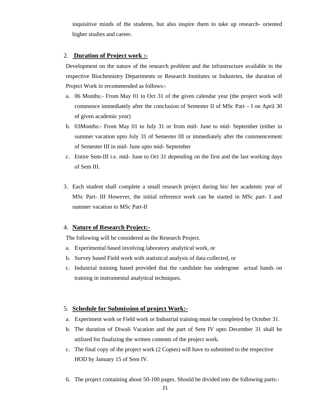inquisitive minds of the students, but also inspire them to take up research- oriented higher studies and career.

### 2. **Duration of Project work :-**

Development on the nature of the research problem and the infrastructure available in the respective Biochemistry Departments or Research Institutes or Industries, the duration of Project Work in recommended as follows:-

- a. 06 Months:- From May 01 to Oct 31 of the given calendar year (the project work will commence immediately after the conclusion of Semester II of MSc Part – I on April 30 of given academic year)
- b. 03Months:- From May 01 to July 31 or from mid- June to mid- September (either in summer vacation upto July 31 of Semester III or immediately after the commencement of Semester III in mid- June upto mid- September
- c. Entire Sem-III i.e. mid- June to Oct 31 depending on the first and the last working days of Sem III.
- 3. Each student shall complete a small research project during his/ her academic year of MSc Part- III However, the initial reference work can be started in MSc part- I and summer vacation to MSc Part-II

### 4. **Nature of Research Project:-**

The following will be considered as the Research Project.

- a. Experimental based involving laboratory analytical work, or
- b. Survey based Field work with statistical analysis of data collected, or
- c. Industrial training based provided that the candidate has undergone actual hands on training in instrumental analytical techniques.

#### 5. **Schedule for Submission of project Work:-**

- a. Experiment work or Field work or Industrial training must be completed by October 31.
- b. The duration of Diwali Vacation and the part of Sem IV upto December 31 shall be utilized for finalizing the written contents of the project work.
- c. The final copy of the project work (2 Copies) will have to submitted to the respective HOD by January 15 of Sem IV.
- 6. The project containing about 50-100 pages. Should be divided into the following parts:-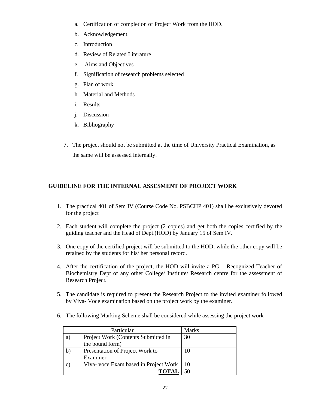- a. Certification of completion of Project Work from the HOD.
- b. Acknowledgement.
- c. Introduction
- d. Review of Related Literature
- e. Aims and Objectives
- f. Signification of research problems selected
- g. Plan of work
- h. Material and Methods
- i. Results
- j. Discussion
- k. Bibliography
- 7. The project should not be submitted at the time of University Practical Examination, as the same will be assessed internally.

## **GUIDELINE FOR THE INTERNAL ASSESMENT OF PROJECT WORK**

- 1. The practical 401 of Sem IV (Course Code No. PSBCHP 401) shall be exclusively devoted for the project
- 2. Each student will complete the project (2 copies) and get both the copies certified by the guiding teacher and the Head of Dept.(HOD) by January 15 of Sem IV.
- 3. One copy of the certified project will be submitted to the HOD; while the other copy will be retained by the students for his/ her personal record.
- 4. After the certification of the project, the HOD will invite a PG Recognized Teacher of Biochemistry Dept of any other College/ Institute/ Research centre for the assessment of Research Project.
- 5. The candidate is required to present the Research Project to the invited examiner followed by Viva- Voce examination based on the project work by the examiner.
- 6. The following Marking Scheme shall be considered while assessing the project work

| Particular   |                                       | <b>Marks</b> |
|--------------|---------------------------------------|--------------|
| a)           | Project Work (Contents Submitted in   | 30           |
|              | the bound form)                       |              |
| $\mathbf{b}$ | Presentation of Project Work to       | 10           |
|              | Examiner                              |              |
| $\mathbf{C}$ | Viva- voce Exam based in Project Work | 10           |
|              |                                       |              |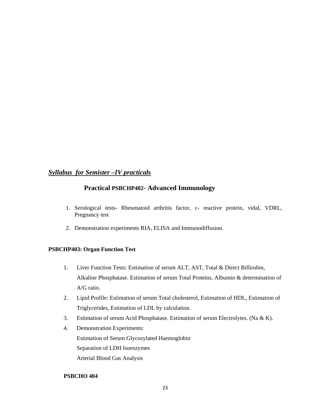## *Syllabus for Semister –IV practicals*

## **Practical PSBCHP402- Advanced Immunology**

- 1. Serological tests- Rheumatoid arthritis factor, c- reactive protein, vidal, VDRL, Pregnancy test
- 2. Demonstration experiments RIA, ELISA and Immunodiffusion.

### **PSBCHP403: Organ Function Test**

- 1. Liver Function Tests: Estimation of serum ALT, AST, Total & Direct Billirubin, Alkaline Phosphatase. Estimation of serum Total Proteins, Albumin & determination of A/G ratio.
- 2. Lipid Profile: Estimation of serum Total cholesterol, Estimation of HDL, Estimation of Triglycerides, Estimation of LDL by calculation.
- 3. Estimation of serum Acid Phosphatase. Estimation of serum Electrolytes. (Na & K).
- 4. Demonstration Experiments: Estimation of Serum Glycosylated Haemoglobin Separation of LDH lsoenzymes Arterial Blood Gas Analysis

### **PSBCHO 404**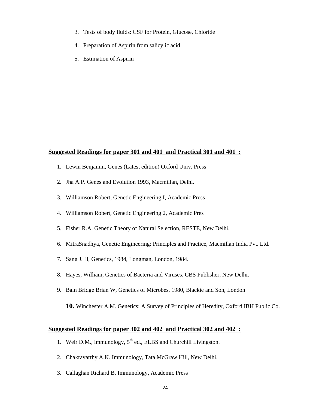- 3. Tests of body fluids: CSF for Protein, Glucose, Chloride
- 4. Preparation of Aspirin from salicylic acid
- 5. Estimation of Aspirin

### **Suggested Readings for paper 301 and 401 and Practical 301 and 401 :**

- 1. Lewin Benjamin, Genes (Latest edition) Oxford Univ. Press
- 2. Jha A.P. Genes and Evolution 1993, Macmillan, Delhi.
- 3. Williamson Robert, Genetic Engineering I, Academic Press
- 4. Williamson Robert, Genetic Engineering 2, Academic Pres
- 5. Fisher R.A. Genetic Theory of Natural Selection, RESTE, New Delhi.
- 6. MitraSnadhya, Genetic Engineering: Principles and Practice, Macmillan India Pvt. Ltd.
- 7. Sang J. H, Genetics, 1984, Longman, London, 1984.
- 8. Hayes, William, Genetics of Bacteria and Viruses, CBS Publisher, New Delhi.
- 9. Bain Bridge Brian W, Genetics of Microbes, 1980, Blackie and Son, London

**10.** Winchester A.M. Genetics: A Survey of Principles of Heredity, Oxford IBH Public Co.

### **Suggested Readings for paper 302 and 402 and Practical 302 and 402 :**

- 1. Weir D.M., immunology,  $5<sup>th</sup>$  ed., ELBS and Churchill Livingston.
- 2. Chakravarthy A.K. Immunology, Tata McGraw Hill, New Delhi.
- 3. Callaghan Richard B. Immunology, Academic Press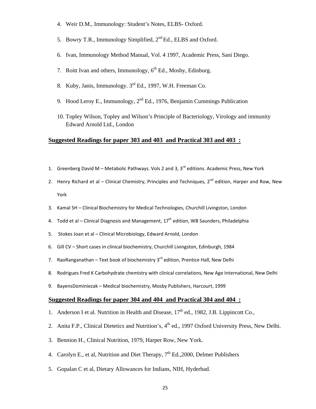- 4. Weir D.M., Immunology: Student's Notes, ELBS- Oxford.
- 5. Bowry T.R., Immunology Simplified,  $2<sup>nd</sup> Ed$ ., ELBS and Oxford.
- 6. Ivan, Immunology Method Manual, Vol. 4 1997, Academic Press, Sani Diego.
- 7. Roitt Ivan and others, Immunology,  $6<sup>th</sup>$  Ed., Mosby, Edinburg.
- 8. Kuby, Janis, Immunology. 3rd Ed., 1997, W.H. Freeman Co.
- 9. Hood Leroy E., Immunology,  $2<sup>nd</sup> Ed.$ , 1976, Benjamin Cummings Publication
- 10. Topley Wilson, Topley and Wilson's Principle of Bacteriology, Virology and immunity Edward Arnold Ltd., London

### **Suggested Readings for paper 303 and 403 and Practical 303 and 403 :**

- 1. Greenberg David M Metabolic Pathways. Vols 2 and 3,  $3<sup>rd</sup>$  editions. Academic Press, New York
- 2. Henry Richard et al Clinical Chemistry, Principles and Techniques,  $2^{nd}$  edition, Harper and Row, New York
- 3. Kamal SH Clinical Biochemistry for Medical Technologies, Churchill Livingston, London
- 4. Todd et al Clinical Diagnosis and Management,  $17<sup>th</sup>$  edition, WB Saunders, Philadelphia
- 5. Stokes Joan et al Clinical Microbiology, Edward Arnold, London
- 6. Gill CV Short cases in clinical biochemistry, Churchill Livingston, Edinburgh, 1984
- 7. RaoRanganathan Text book of biochemistry  $3^{rd}$  edition, Prentice Hall, New Delhi
- 8. Rodrigues Fred K Carbohydrate chemistry with clinical correlations, New Age International, New Delhi
- 9. BayensDominiezak Medical biochemistry, Mosby Publishers, Harcourt, 1999

### **Suggested Readings for paper 304 and 404 and Practical 304 and 404 :**

- 1. Anderson I et al. Nutrition in Health and Disease,  $17<sup>th</sup>$  ed., 1982, J.B. Lippincott Co.,
- 2. Anita F.P., Clinical Dietetics and Nutrition's, 4<sup>th</sup> ed., 1997 Oxford University Press, New Delhi.
- 3. Bennion H., Clinical Nutrition, 1979, Harper Row, New York.
- 4. Carolyn E., et al, Nutrition and Diet Therapy,  $7<sup>th</sup>$  Ed., 2000, Delmer Publishers
- 5. Gopalan C et al, Dietary Allowances for Indians, NIH, Hyderbad.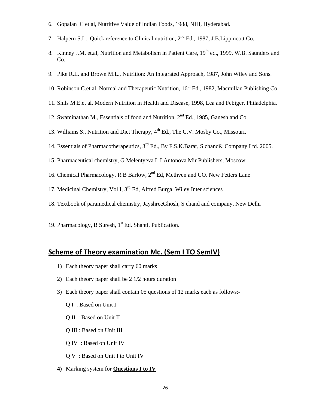- 6. Gopalan C et al, Nutritive Value of Indian Foods, 1988, NIH, Hyderabad.
- 7. Halpern S.L., Quick reference to Clinical nutrition, 2<sup>nd</sup> Ed., 1987, J.B. Lippincott Co.
- 8. Kinney J.M. et.al, Nutrition and Metabolism in Patient Care, 19<sup>th</sup> ed., 1999, W.B. Saunders and Co.
- 9. Pike R.L. and Brown M.L., Nutrition: An Integrated Approach, 1987, John Wiley and Sons.
- 10. Robinson C.et al, Normal and Therapeutic Nutrition,  $16^{th}$  Ed., 1982, Macmillan Publishing Co.
- 11. Shils M.E.et al, Modern Nutrition in Health and Disease, 1998, Lea and Febiger, Philadelphia.
- 12. Swaminathan M., Essentials of food and Nutrition, 2<sup>nd</sup> Ed., 1985, Ganesh and Co.
- 13. Williams S., Nutrition and Diet Therapy,  $4<sup>th</sup>$  Ed., The C.V. Mosby Co., Missouri.
- 14. Essentials of Pharmacotherapeutics, 3<sup>rd</sup> Ed., By F.S.K.Barar, S chand& Company Ltd. 2005.
- 15. Pharmaceutical chemistry, G Melentyeva L LAntonova Mir Publishers, Moscow
- 16. Chemical Pharmacology, R B Barlow, 2<sup>nd</sup> Ed, Methven and CO. New Fetters Lane
- 17. Medicinal Chemistry, Vol I,  $3<sup>rd</sup>$  Ed, Alfred Burga, Wiley Inter sciences
- 18. Textbook of paramedical chemistry, JayshreeGhosh, S chand and company, New Delhi
- 19. Pharmacology, B Suresh,  $1<sup>st</sup> Ed$ . Shanti, Publication.

## **Scheme of Theory examination Mc. (Sem I TO SemIV)**

- 1) Each theory paper shall carry 60 marks
- 2) Each theory paper shall be 2 1/2 hours duration
- 3) Each theory paper shall contain 05 questions of 12 marks each as follows:-
	- Q I : Based on Unit I
	- Q II : Based on Unit II
	- Q III : Based on Unit III
	- Q IV : Based on Unit IV
	- Q V : Based on Unit I to Unit IV
- **4)** Marking system for **Questions I to IV**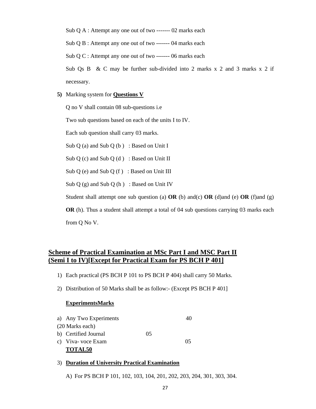Sub Q A : Attempt any one out of two ------- 02 marks each

Sub Q B : Attempt any one out of two ------- 04 marks each

Sub Q C : Attempt any one out of two ------- 06 marks each

Sub Qs B & C may be further sub-divided into 2 marks  $x$  2 and 3 marks  $x$  2 if necessary.

**5)** Marking system for **Questions V** 

Q no V shall contain 08 sub-questions i.e

Two sub questions based on each of the units I to IV.

Each sub question shall carry 03 marks.

Sub Q (a) and Sub Q (b) : Based on Unit I

Sub  $Q(c)$  and Sub  $Q(d)$  : Based on Unit II

Sub Q (e) and Sub Q (f) : Based on Unit III

Sub  $Q$  (g) and Sub  $Q$  (h) : Based on Unit IV

Student shall attempt one sub question (a) **OR** (b) and(c) **OR** (d)and (e) **OR** (f)and (g)

**OR** (h). Thus a student shall attempt a total of 04 sub questions carrying 03 marks each from Q No V.

## **Scheme of Practical Examination at MSc Part I and MSC Part II (Semi I to IV)[Except for Practical Exam for PS BCH P 401]**

- 1) Each practical (PS BCH P 101 to PS BCH P 404) shall carry 50 Marks.
- 2) Distribution of 50 Marks shall be as follow:- (Except PS BCH P 401]

#### **ExperimentsMarks**

| a) Any Two Experiments |    | 40 |
|------------------------|----|----|
| (20 Marks each)        |    |    |
| b) Certified Journal   | 05 |    |
| c) Viva-voce Exam      |    | 05 |
| <b>TOTAL50</b>         |    |    |

#### 3) **Duration of University Practical Examination**

A) For PS BCH P 101, 102, 103, 104, 201, 202, 203, 204, 301, 303, 304.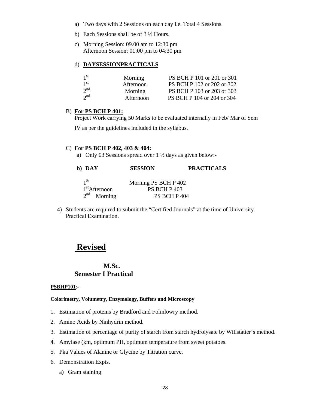- a) Two days with 2 Sessions on each day i.e. Total 4 Sessions.
- b) Each Sessions shall be of 3 ½ Hours.
- c) Morning Session: 09.00 am to 12:30 pm Afternoon Session: 01:00 pm to 04:30 pm

#### d) **DAYSESSIONPRACTICALS**

| 1 <sup>st</sup> | Morning   | PS BCH P 101 or 201 or 301 |
|-----------------|-----------|----------------------------|
| 1 <sup>st</sup> | Afternoon | PS BCH P 102 or 202 or 302 |
| $2^{nd}$        | Morning   | PS BCH P 103 or 203 or 303 |
| $2^{nd}$        | Afternoon | PS BCH P 104 or 204 or 304 |

### B) **For PS BCH P 401:**

Project Work carrying 50 Marks to be evaluated internally in Feb/ Mar of Sem

IV as per the guidelines included in the syllabus.

#### C) **For PS BCH P 402, 403 & 404:**

a) Only 03 Sessions spread over 1 ½ days as given below:-

| b) DAY                    | <b>SESSION</b>       | <b>PRACTICALS</b> |
|---------------------------|----------------------|-------------------|
| $1$ St                    | Morning PS BCH P 402 |                   |
| 1 <sup>st</sup> Afternoon | <b>PS BCH P 403</b>  |                   |
| $2^{nd}$ Morning          | PS BCH P 404         |                   |

4) Students are required to submit the "Certified Journals" at the time of University Practical Examination.

## **Revised**

### **M.Sc. Semester I Practical**

#### **PSBHP101**:-

### **Colorimetry, Volumetry, Enzymology, Buffers and Microscopy**

- 1. Estimation of proteins by Bradford and Folinlowry method.
- 2. Amino Acids by Ninhydrin method.
- 3. Estimation of percentage of purity of starch from starch hydrolysate by Willstatter's method.
- 4. Amylase (km, optimum PH, optimum temperature from sweet potatoes.
- 5. Pka Values of Alanine or Glycine by Titration curve.
- 6. Demonstration Expts.
	- a) Gram staining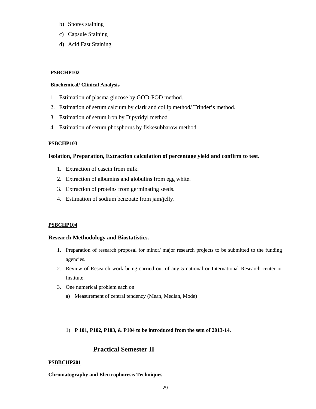- b) Spores staining
- c) Capsule Staining
- d) Acid Fast Staining

### **PSBCHP102**

### **Biochemical/ Clinical Analysis**

- 1. Estimation of plasma glucose by GOD-POD method.
- 2. Estimation of serum calcium by clark and collip method/ Trinder's method.
- 3. Estimation of serum iron by Dipyridyl method
- 4. Estimation of serum phosphorus by fiskesubbarow method.

### **PSBCHP103**

### **Isolation, Preparation, Extraction calculation of percentage yield and confirm to test.**

- 1. Extraction of casein from milk.
- 2. Extraction of albumins and globulins from egg white.
- 3. Extraction of proteins from germinating seeds.
- 4. Estimation of sodium benzoate from jam/jelly.

### **PSBCHP104**

### **Research Methodology and Biostatistics.**

- 1. Preparation of research proposal for minor/ major research projects to be submitted to the funding agencies.
- 2. Review of Research work being carried out of any 5 national or International Research center or Institute.
- 3. One numerical problem each on
	- a) Measurement of central tendency (Mean, Median, Mode)

### 1) **P 101, P102, P103, & P104 to be introduced from the sem of 2013-14.**

## **Practical Semester II**

### **PSBBCHP201**

**Chromatography and Electrophoresis Techniques**